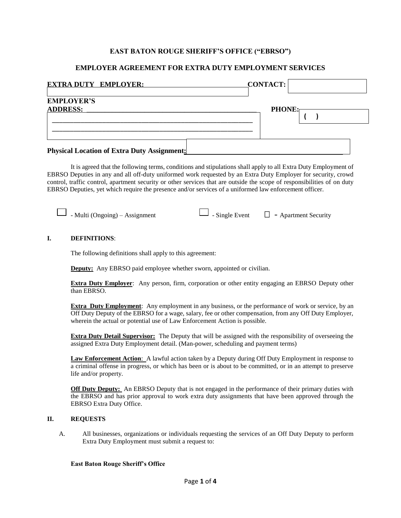## **EAST BATON ROUGE SHERIFF'S OFFICE ("EBRSO")**

### **EMPLOYER AGREEMENT FOR EXTRA DUTY EMPLOYMENT SERVICES**

| <b>EXTRA DUTY EMPLOYER:</b>                        | <b>CONTACT:</b> |
|----------------------------------------------------|-----------------|
| <b>EMPLOYER'S</b><br><b>ADDRESS:</b>               | <b>PHONE:</b>   |
|                                                    |                 |
| <b>Physical Location of Extra Duty Assignment:</b> |                 |

It is agreed that the following terms, conditions and stipulations shall apply to all Extra Duty Employment of EBRSO Deputies in any and all off-duty uniformed work requested by an Extra Duty Employer for security, crowd control, traffic control, apartment security or other services that are outside the scope of responsibilities of on duty EBRSO Deputies, yet which require the presence and/or services of a uniformed law enforcement officer.

| - Multi (Ongoing) – Assignment | $\Box$ - Single Event | - Apartment Security |
|--------------------------------|-----------------------|----------------------|
|--------------------------------|-----------------------|----------------------|

#### **I. DEFINITIONS**:

The following definitions shall apply to this agreement:

**Deputy:** Any EBRSO paid employee whether sworn, appointed or civilian.

**Extra Duty Employer**: Any person, firm, corporation or other entity engaging an EBRSO Deputy other than EBRSO.

**Extra Duty Employment**: Any employment in any business, or the performance of work or service, by an Off Duty Deputy of the EBRSO for a wage, salary, fee or other compensation, from any Off Duty Employer, wherein the actual or potential use of Law Enforcement Action is possible.

**Extra Duty Detail Supervisor:** The Deputy that will be assigned with the responsibility of overseeing the assigned Extra Duty Employment detail. (Man-power, scheduling and payment terms)

**Law Enforcement Action**: A lawful action taken by a Deputy during Off Duty Employment in response to a criminal offense in progress, or which has been or is about to be committed, or in an attempt to preserve life and/or property.

**Off Duty Deputy:** An EBRSO Deputy that is not engaged in the performance of their primary duties with the EBRSO and has prior approval to work extra duty assignments that have been approved through the EBRSO Extra Duty Office.

#### **II. REQUESTS**

A. All businesses, organizations or individuals requesting the services of an Off Duty Deputy to perform Extra Duty Employment must submit a request to:

#### **East Baton Rouge Sheriff's Office**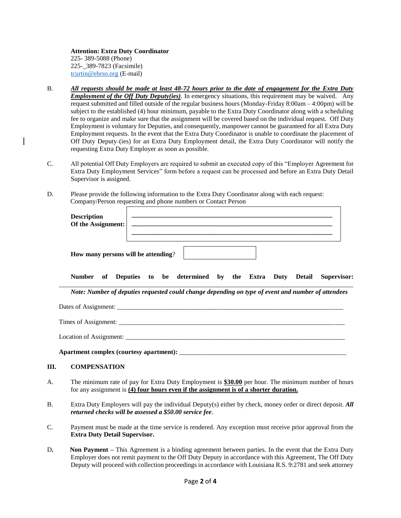**Attention: Extra Duty Coordinator** 225- 389-5088 (Phone) 225-\_389-7823 (Facsimile) [tcurtin@ebrso.org](mailto:tcurtin@ebrso.org) (E-mail)

Г

**III.** 

- B. *All requests should be made at least 48-72 hours prior to the date of engagement for the Extra Duty Employment of the Off Duty Deputy(ies)*. In emergency situations, this requirement may be waived. Any request submitted and filled outside of the regular business hours (Monday-Friday 8:00am – 4:00pm) will be subject to the established (4) hour minimum, payable to the Extra Duty Coordinator along with a scheduling fee to organize and make sure that the assignment will be covered based on the individual request. Off Duty Employment is voluntary for Deputies, and consequently, manpower cannot be guaranteed for all Extra Duty Employment requests. In the event that the Extra Duty Coordinator is unable to coordinate the placement of Off Duty Deputy (ies) for an Extra Duty Employment detail, the Extra Duty Coordinator will notify the requesting Extra Duty Employer as soon as possible.
- C. All potential Off Duty Employers are required to submit an executed copy of this "Employer Agreement for Extra Duty Employment Services" form before a request can be processed and before an Extra Duty Detail Supervisor is assigned.
- D. Please provide the following information to the Extra Duty Coordinator along with each request: Company/Person requesting and phone numbers or Contact Person

| <b>Description</b><br>Of the Assignment:                                                           |  |  |  |  |
|----------------------------------------------------------------------------------------------------|--|--|--|--|
| How many persons will be attending?                                                                |  |  |  |  |
| Number of Deputies to be determined by the Extra Duty Detail Supervisor:                           |  |  |  |  |
| Note: Number of deputies requested could change depending on type of event and number of attendees |  |  |  |  |
|                                                                                                    |  |  |  |  |
|                                                                                                    |  |  |  |  |
|                                                                                                    |  |  |  |  |
|                                                                                                    |  |  |  |  |
| <b>COMPENSATION</b>                                                                                |  |  |  |  |

- A. The minimum rate of pay for Extra Duty Employment is **\$30.00** per hour. The minimum number of hours for any assignment is **(4) four hours even if the assignment is of a shorter duration.**
- B. Extra Duty Employers will pay the individual Deputy(s) either by check, money order or direct deposit. *All returned checks will be assessed a \$50.00 service fee*.
- C. Payment must be made at the time service is rendered. Any exception must receive prior approval from the **Extra Duty Detail Supervisor.**
- D**. Non Payment –** This Agreement is a binding agreement between parties. In the event that the Extra Duty Employer does not remit payment to the Off Duty Deputy in accordance with this Agreement, The Off Duty Deputy will proceed with collection proceedings in accordance with Louisiana R.S. 9:2781 and seek attorney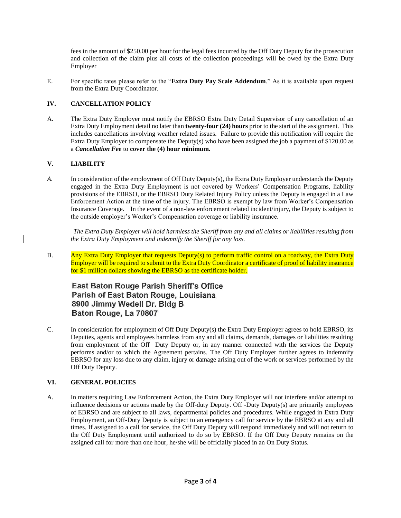fees in the amount of \$250.00 per hour for the legal fees incurred by the Off Duty Deputy for the prosecution and collection of the claim plus all costs of the collection proceedings will be owed by the Extra Duty Employer

E. For specific rates please refer to the "**Extra Duty Pay Scale Addendum**." As it is available upon request from the Extra Duty Coordinator.

## **IV. CANCELLATION POLICY**

A. The Extra Duty Employer must notify the EBRSO Extra Duty Detail Supervisor of any cancellation of an Extra Duty Employment detail no later than **twenty-four (24) hours** prior to the start of the assignment. This includes cancellations involving weather related issues. Failure to provide this notification will require the Extra Duty Employer to compensate the Deputy(s) who have been assigned the job a payment of \$120.00 as a *Cancellation Fee* to **cover the (4) hour minimum.**

## **V. LIABILITY**

*A.* In consideration of the employment of Off Duty Deputy(s), the Extra Duty Employer understands the Deputy engaged in the Extra Duty Employment is not covered by Workers' Compensation Programs, liability provisions of the EBRSO, or the EBRSO Duty Related Injury Policy unless the Deputy is engaged in a Law Enforcement Action at the time of the injury. The EBRSO is exempt by law from Worker's Compensation Insurance Coverage. In the event of a non-law enforcement related incident/injury, the Deputy is subject to the outside employer's Worker's Compensation coverage or liability insurance.

 *The Extra Duty Employer will hold harmless the Sheriff from any and all claims or liabilities resulting from the Extra Duty Employment and indemnify the Sheriff for any loss.*

B. Any Extra Duty Employer that requests Deputy(s) to perform traffic control on a roadway, the Extra Duty Employer will be required to submit to the Extra Duty Coordinator a certificate of proof of liability insurance for \$1 million dollars showing the EBRSO as the certificate holder.

# **East Baton Rouge Parish Sheriff's Office** Parish of East Baton Rouge, Louisiana 8900 Jimmy Wedell Dr. Bldg B Baton Rouge, La 70807

C. In consideration for employment of Off Duty Deputy(s) the Extra Duty Employer agrees to hold EBRSO, its Deputies, agents and employees harmless from any and all claims, demands, damages or liabilities resulting from employment of the Off Duty Deputy or, in any manner connected with the services the Deputy performs and/or to which the Agreement pertains. The Off Duty Employer further agrees to indemnify EBRSO for any loss due to any claim, injury or damage arising out of the work or services performed by the Off Duty Deputy.

### **VI. GENERAL POLICIES**

A. In matters requiring Law Enforcement Action, the Extra Duty Employer will not interfere and/or attempt to influence decisions or actions made by the Off-duty Deputy. Off -Duty Deputy(s) are primarily employees of EBRSO and are subject to all laws, departmental policies and procedures. While engaged in Extra Duty Employment, an Off-Duty Deputy is subject to an emergency call for service by the EBRSO at any and all times. If assigned to a call for service, the Off Duty Deputy will respond immediately and will not return to the Off Duty Employment until authorized to do so by EBRSO. If the Off Duty Deputy remains on the assigned call for more than one hour, he/she will be officially placed in an On Duty Status.